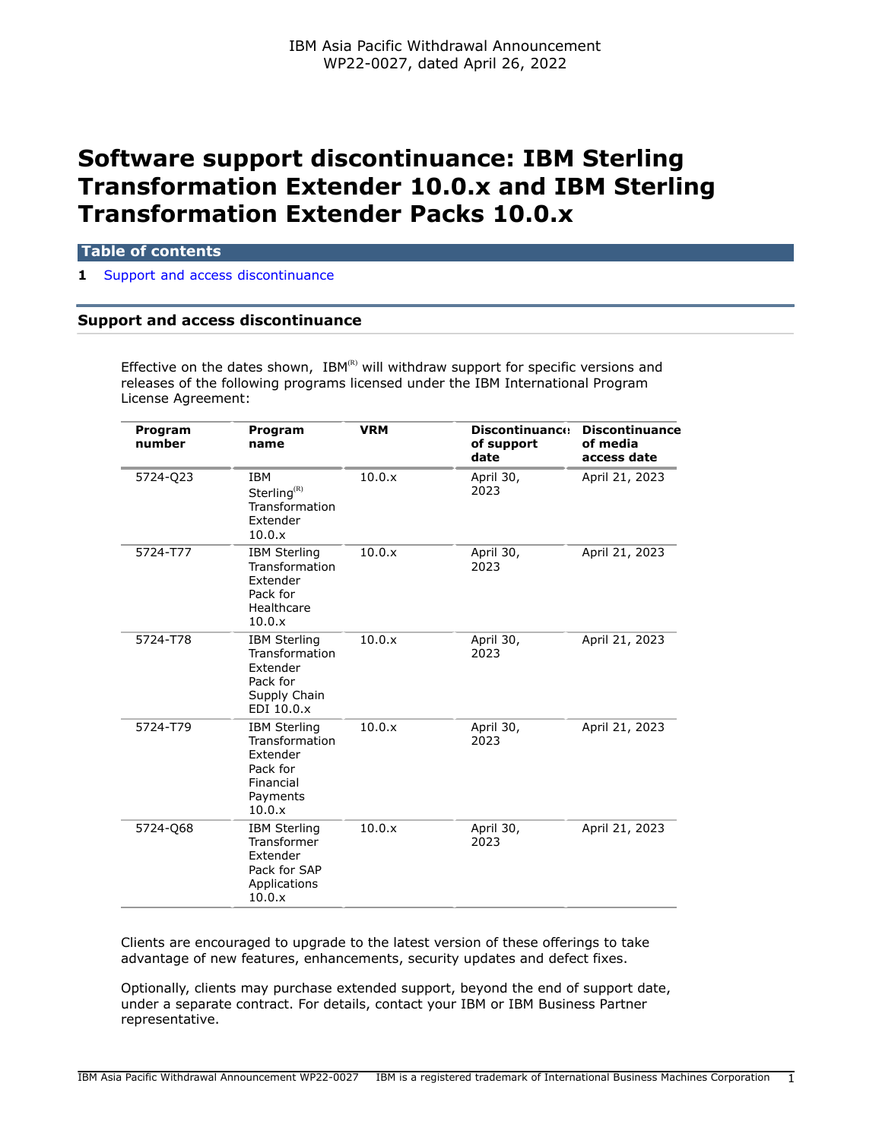# **Software support discontinuance: IBM Sterling Transformation Extender 10.0.x and IBM Sterling Transformation Extender Packs 10.0.x**

#### **Table of contents**

**1** [Support and access discontinuance](#page-0-0)

## <span id="page-0-0"></span>**Support and access discontinuance**

Effective on the dates shown,  $IBM^{(R)}$  will withdraw support for specific versions and releases of the following programs licensed under the IBM International Program License Agreement:

| Program<br>number | Program<br>name                                                                                  | <b>VRM</b> | <b>Discontinuance</b><br>of support<br>date | <b>Discontinuance</b><br>of media<br>access date |
|-------------------|--------------------------------------------------------------------------------------------------|------------|---------------------------------------------|--------------------------------------------------|
| 5724-Q23          | <b>IBM</b><br>Sterling <sup>(R)</sup><br>Transformation<br>Extender<br>10.0.x                    | 10.0.x     | April 30,<br>2023                           | April 21, 2023                                   |
| 5724-T77          | <b>IBM Sterling</b><br>Transformation<br>Extender<br>Pack for<br>Healthcare<br>10.0.x            | 10.0.x     | April 30,<br>2023                           | April 21, 2023                                   |
| 5724-T78          | <b>IBM Sterling</b><br>Transformation<br>Extender<br>Pack for<br>Supply Chain<br>EDI 10.0.x      | 10.0.x     | April 30,<br>2023                           | April 21, 2023                                   |
| 5724-T79          | <b>IBM Sterling</b><br>Transformation<br>Extender<br>Pack for<br>Financial<br>Payments<br>10.0.x | 10.0.x     | April 30,<br>2023                           | April 21, 2023                                   |
| 5724-Q68          | <b>IBM Sterling</b><br>Transformer<br>Extender<br>Pack for SAP<br>Applications<br>10.0.x         | 10.0.x     | April 30,<br>2023                           | April 21, 2023                                   |

Clients are encouraged to upgrade to the latest version of these offerings to take advantage of new features, enhancements, security updates and defect fixes.

Optionally, clients may purchase extended support, beyond the end of support date, under a separate contract. For details, contact your IBM or IBM Business Partner representative.